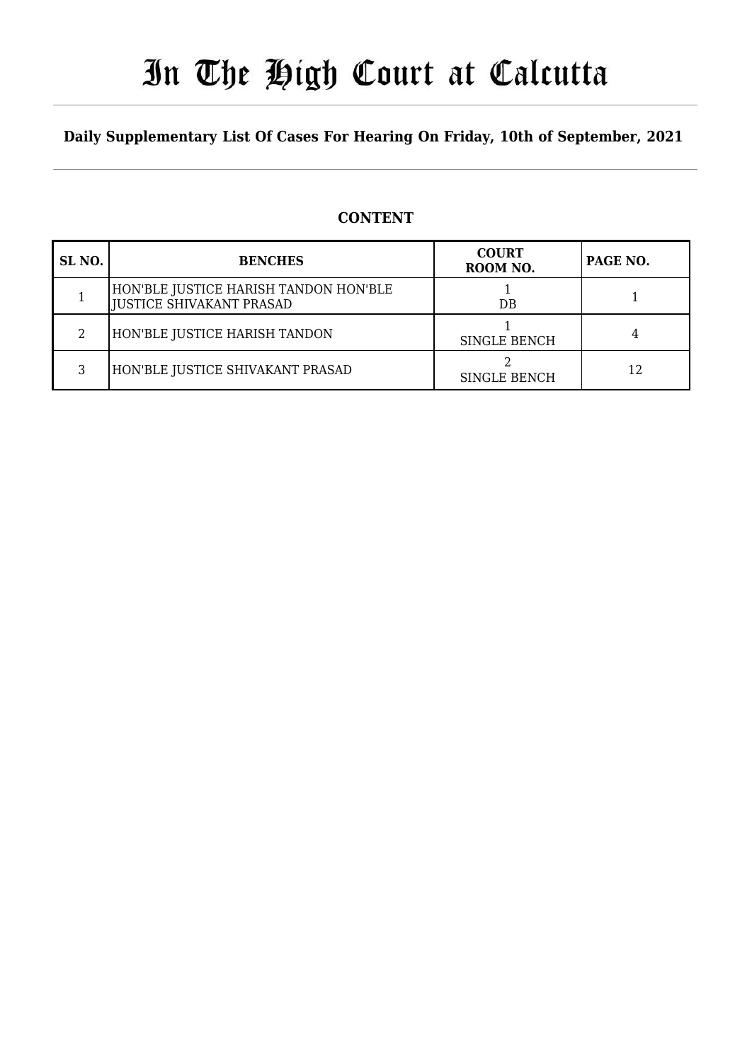# In The High Court at Calcutta

### **Daily Supplementary List Of Cases For Hearing On Friday, 10th of September, 2021**

#### **CONTENT**

| SL <sub>NO</sub> . | <b>BENCHES</b>                                                           | <b>COURT</b><br>ROOM NO. | PAGE NO. |
|--------------------|--------------------------------------------------------------------------|--------------------------|----------|
|                    | HON'BLE JUSTICE HARISH TANDON HON'BLE<br><b>JUSTICE SHIVAKANT PRASAD</b> | DB                       |          |
|                    | HON'BLE JUSTICE HARISH TANDON                                            | <b>SINGLE BENCH</b>      |          |
|                    | HON'BLE JUSTICE SHIVAKANT PRASAD                                         | <b>SINGLE BENCH</b>      | 12       |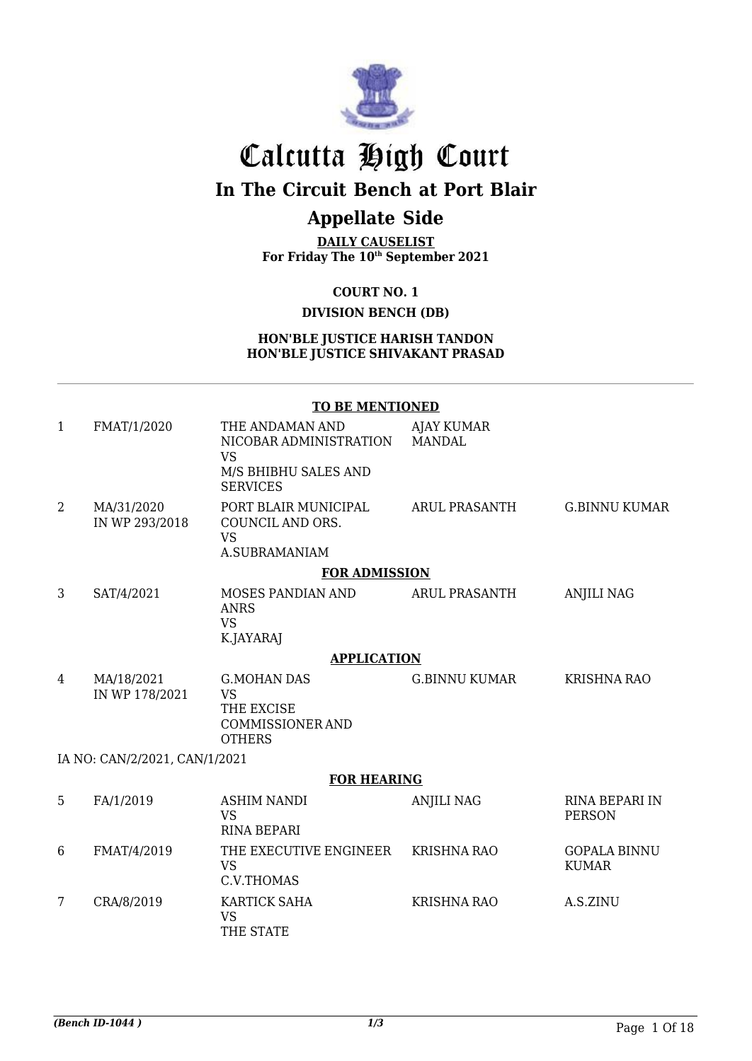

# Calcutta High Court

## **In The Circuit Bench at Port Blair**

## **Appellate Side**

**DAILY CAUSELIST For Friday The 10th September 2021**

**COURT NO. 1**

### **DIVISION BENCH (DB)**

**HON'BLE JUSTICE HARISH TANDON HON'BLE JUSTICE SHIVAKANT PRASAD**

#### **TO BE MENTIONED**

| $\mathbf{1}$   | FMAT/1/2020                   | THE ANDAMAN AND<br>NICOBAR ADMINISTRATION<br><b>VS</b>                                    | <b>AJAY KUMAR</b><br><b>MANDAL</b> |                                        |
|----------------|-------------------------------|-------------------------------------------------------------------------------------------|------------------------------------|----------------------------------------|
|                |                               | M/S BHIBHU SALES AND<br><b>SERVICES</b>                                                   |                                    |                                        |
| $\overline{2}$ | MA/31/2020<br>IN WP 293/2018  | PORT BLAIR MUNICIPAL<br>COUNCIL AND ORS.<br><b>VS</b>                                     | <b>ARUL PRASANTH</b>               | <b>G.BINNU KUMAR</b>                   |
|                |                               | A.SUBRAMANIAM                                                                             |                                    |                                        |
|                |                               | <b>FOR ADMISSION</b>                                                                      |                                    |                                        |
| 3              | SAT/4/2021                    | MOSES PANDIAN AND<br><b>ANRS</b><br><b>VS</b><br>K.JAYARAJ                                | <b>ARUL PRASANTH</b>               | <b>ANJILI NAG</b>                      |
|                |                               | <b>APPLICATION</b>                                                                        |                                    |                                        |
| 4              | MA/18/2021<br>IN WP 178/2021  | <b>G.MOHAN DAS</b><br><b>VS</b><br>THE EXCISE<br><b>COMMISSIONER AND</b><br><b>OTHERS</b> | <b>G.BINNU KUMAR</b>               | <b>KRISHNA RAO</b>                     |
|                | IA NO: CAN/2/2021, CAN/1/2021 |                                                                                           |                                    |                                        |
|                |                               | <b>FOR HEARING</b>                                                                        |                                    |                                        |
| 5              | FA/1/2019                     | <b>ASHIM NANDI</b><br><b>VS</b><br><b>RINA BEPARI</b>                                     | <b>ANJILI NAG</b>                  | <b>RINA BEPARI IN</b><br><b>PERSON</b> |
| 6              | FMAT/4/2019                   | THE EXECUTIVE ENGINEER<br><b>VS</b><br>C.V.THOMAS                                         | <b>KRISHNA RAO</b>                 | <b>GOPALA BINNU</b><br><b>KUMAR</b>    |
| 7              | CRA/8/2019                    | <b>KARTICK SAHA</b><br><b>VS</b><br>THE STATE                                             | <b>KRISHNA RAO</b>                 | A.S.ZINU                               |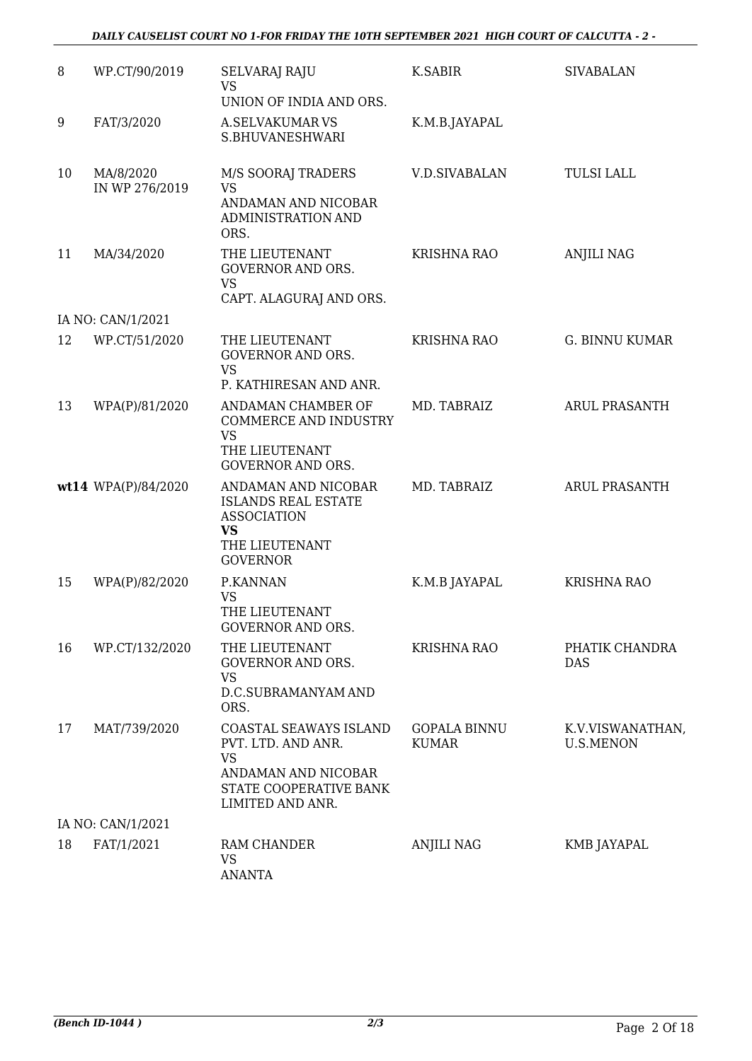| 8  | WP.CT/90/2019               | <b>SELVARAJ RAJU</b>                                                                                                    | K.SABIR                             | <b>SIVABALAN</b>                     |
|----|-----------------------------|-------------------------------------------------------------------------------------------------------------------------|-------------------------------------|--------------------------------------|
|    |                             | <b>VS</b><br>UNION OF INDIA AND ORS.                                                                                    |                                     |                                      |
| 9  | FAT/3/2020                  | <b>A.SELVAKUMAR VS</b>                                                                                                  |                                     |                                      |
|    |                             | S.BHUVANESHWARI                                                                                                         | K.M.B.JAYAPAL                       |                                      |
| 10 | MA/8/2020<br>IN WP 276/2019 | M/S SOORAJ TRADERS<br><b>VS</b>                                                                                         | <b>V.D.SIVABALAN</b>                | <b>TULSI LALL</b>                    |
|    |                             | ANDAMAN AND NICOBAR<br>ADMINISTRATION AND<br>ORS.                                                                       |                                     |                                      |
| 11 | MA/34/2020                  | THE LIEUTENANT<br><b>GOVERNOR AND ORS.</b><br><b>VS</b>                                                                 | <b>KRISHNA RAO</b>                  | <b>ANJILI NAG</b>                    |
|    |                             | CAPT. ALAGURAJ AND ORS.                                                                                                 |                                     |                                      |
|    | IA NO: CAN/1/2021           |                                                                                                                         |                                     |                                      |
| 12 | WP.CT/51/2020               | THE LIEUTENANT<br><b>GOVERNOR AND ORS.</b><br><b>VS</b><br>P. KATHIRESAN AND ANR.                                       | <b>KRISHNA RAO</b>                  | <b>G. BINNU KUMAR</b>                |
|    |                             |                                                                                                                         |                                     |                                      |
| 13 | WPA(P)/81/2020              | ANDAMAN CHAMBER OF<br><b>COMMERCE AND INDUSTRY</b><br><b>VS</b><br>THE LIEUTENANT<br><b>GOVERNOR AND ORS.</b>           | MD. TABRAIZ                         | <b>ARUL PRASANTH</b>                 |
|    | wt14 WPA(P)/84/2020         | ANDAMAN AND NICOBAR<br><b>ISLANDS REAL ESTATE</b><br><b>ASSOCIATION</b><br>VS<br>THE LIEUTENANT<br><b>GOVERNOR</b>      | MD. TABRAIZ                         | <b>ARUL PRASANTH</b>                 |
| 15 | WPA(P)/82/2020              | P.KANNAN<br><b>VS</b><br>THE LIEUTENANT<br><b>GOVERNOR AND ORS.</b>                                                     | K.M.B JAYAPAL                       | KRISHNA RAO                          |
| 16 | WP.CT/132/2020              | THE LIEUTENANT<br><b>GOVERNOR AND ORS.</b><br><b>VS</b><br>D.C.SUBRAMANYAM AND<br>ORS.                                  | <b>KRISHNA RAO</b>                  | PHATIK CHANDRA<br><b>DAS</b>         |
| 17 | MAT/739/2020                | COASTAL SEAWAYS ISLAND<br>PVT. LTD. AND ANR.<br>VS<br>ANDAMAN AND NICOBAR<br>STATE COOPERATIVE BANK<br>LIMITED AND ANR. | <b>GOPALA BINNU</b><br><b>KUMAR</b> | K.V.VISWANATHAN,<br><b>U.S.MENON</b> |
|    | IA NO: CAN/1/2021           |                                                                                                                         |                                     |                                      |
| 18 | FAT/1/2021                  | RAM CHANDER<br><b>VS</b><br><b>ANANTA</b>                                                                               | <b>ANJILI NAG</b>                   | KMB JAYAPAL                          |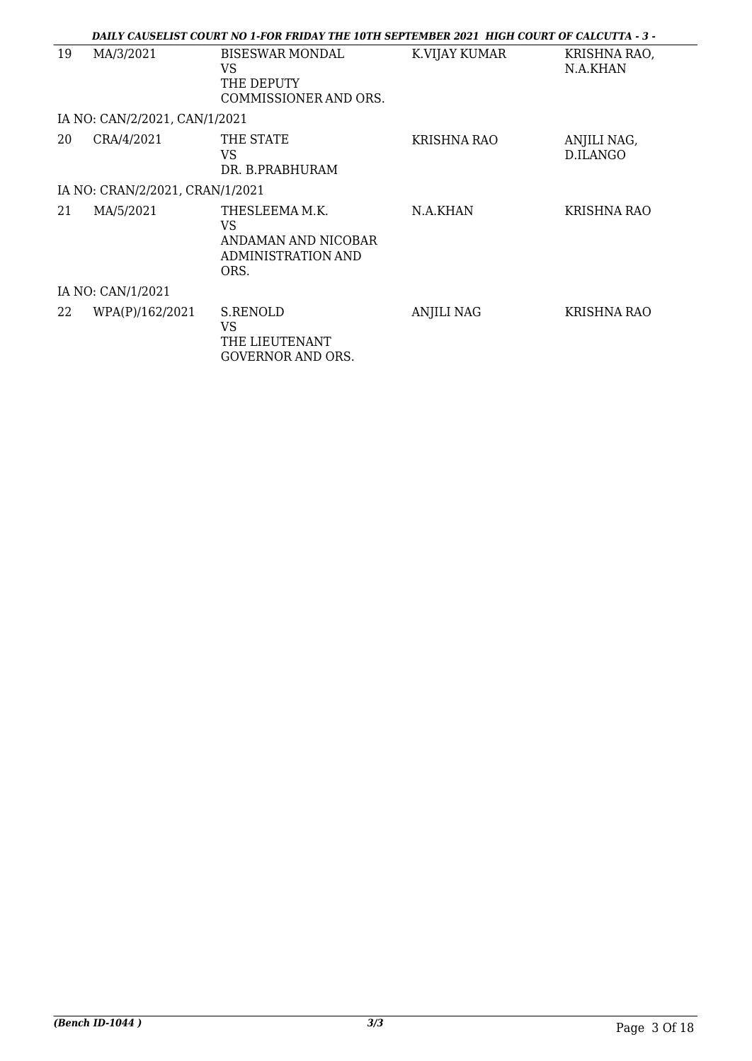|    |                                 | DAILY CAUSELIST COURT NO 1-FOR FRIDAY THE 10TH SEPTEMBER 2021 HIGH COURT OF CALCUTTA - 3 - |                    |                          |
|----|---------------------------------|--------------------------------------------------------------------------------------------|--------------------|--------------------------|
| 19 | MA/3/2021                       | <b>BISESWAR MONDAL</b><br>VS<br>THE DEPUTY<br>COMMISSIONER AND ORS.                        | K.VIJAY KUMAR      | KRISHNA RAO,<br>N.A.KHAN |
|    | IA NO: CAN/2/2021, CAN/1/2021   |                                                                                            |                    |                          |
| 20 | CRA/4/2021                      | THE STATE<br>VS<br>DR. B.PRABHURAM                                                         | <b>KRISHNA RAO</b> | ANJILI NAG,<br>D.ILANGO  |
|    | IA NO: CRAN/2/2021, CRAN/1/2021 |                                                                                            |                    |                          |
| 21 | MA/5/2021                       | THESLEEMA M.K.<br>VS<br>ANDAMAN AND NICOBAR<br><b>ADMINISTRATION AND</b><br>ORS.           | N.A.KHAN           | KRISHNA RAO              |
|    | IA NO: CAN/1/2021               |                                                                                            |                    |                          |
| 22 | WPA(P)/162/2021                 | S.RENOLD<br>VS<br>THE LIEUTENANT<br><b>GOVERNOR AND ORS.</b>                               | <b>ANJILI NAG</b>  | KRISHNA RAO              |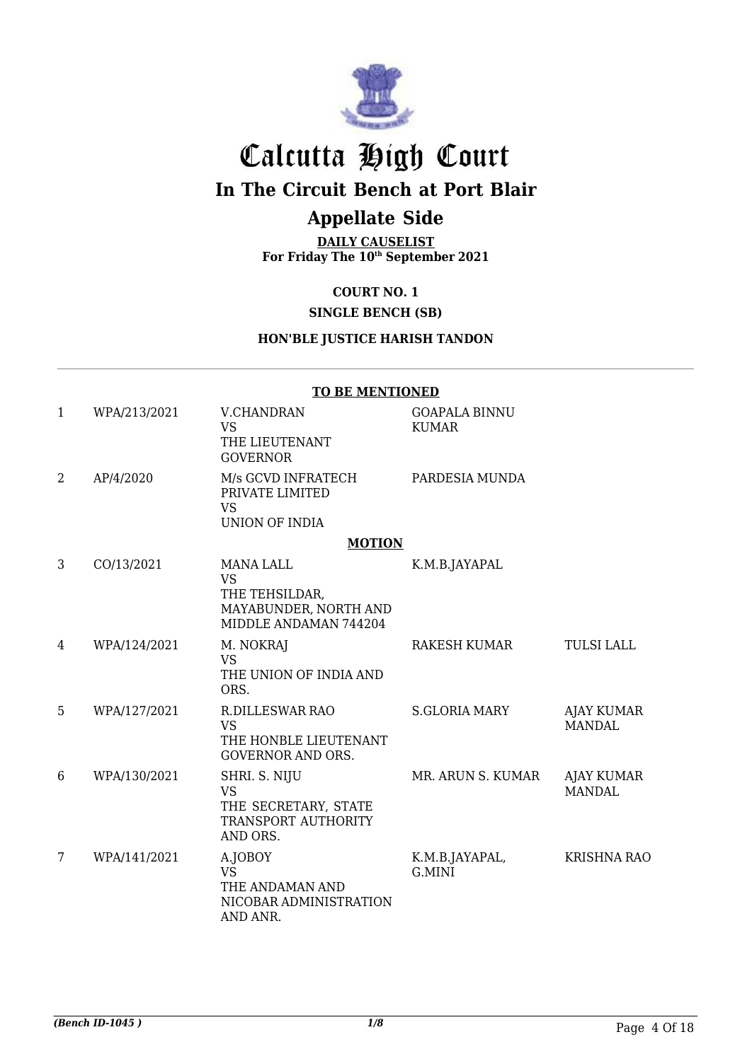

# Calcutta High Court

## **In The Circuit Bench at Port Blair**

## **Appellate Side**

**DAILY CAUSELIST For Friday The 10th September 2021**

#### **COURT NO. 1**

### **SINGLE BENCH (SB)**

#### **HON'BLE JUSTICE HARISH TANDON**

|              |              | <b>TO BE MENTIONED</b>                                                                            |                                      |                             |
|--------------|--------------|---------------------------------------------------------------------------------------------------|--------------------------------------|-----------------------------|
| $\mathbf{1}$ | WPA/213/2021 | <b>V.CHANDRAN</b><br><b>VS</b><br>THE LIEUTENANT<br><b>GOVERNOR</b>                               | <b>GOAPALA BINNU</b><br><b>KUMAR</b> |                             |
| 2            | AP/4/2020    | M/s GCVD INFRATECH<br>PRIVATE LIMITED<br><b>VS</b><br><b>UNION OF INDIA</b>                       | PARDESIA MUNDA                       |                             |
|              |              | <b>MOTION</b>                                                                                     |                                      |                             |
| 3            | CO/13/2021   | <b>MANA LALL</b><br><b>VS</b><br>THE TEHSILDAR,<br>MAYABUNDER, NORTH AND<br>MIDDLE ANDAMAN 744204 | K.M.B.JAYAPAL                        |                             |
| 4            | WPA/124/2021 | M. NOKRAJ<br><b>VS</b><br>THE UNION OF INDIA AND<br>ORS.                                          | RAKESH KUMAR                         | <b>TULSI LALL</b>           |
| 5            | WPA/127/2021 | <b>R.DILLESWAR RAO</b><br><b>VS</b><br>THE HONBLE LIEUTENANT<br><b>GOVERNOR AND ORS.</b>          | <b>S.GLORIA MARY</b>                 | AJAY KUMAR<br><b>MANDAL</b> |
| 6            | WPA/130/2021 | SHRI. S. NIJU<br><b>VS</b><br>THE SECRETARY, STATE<br>TRANSPORT AUTHORITY<br>AND ORS.             | MR. ARUN S. KUMAR                    | AJAY KUMAR<br><b>MANDAL</b> |
| 7            | WPA/141/2021 | A.JOBOY<br><b>VS</b><br>THE ANDAMAN AND<br>NICOBAR ADMINISTRATION<br>AND ANR.                     | K.M.B.JAYAPAL,<br>G.MINI             | <b>KRISHNA RAO</b>          |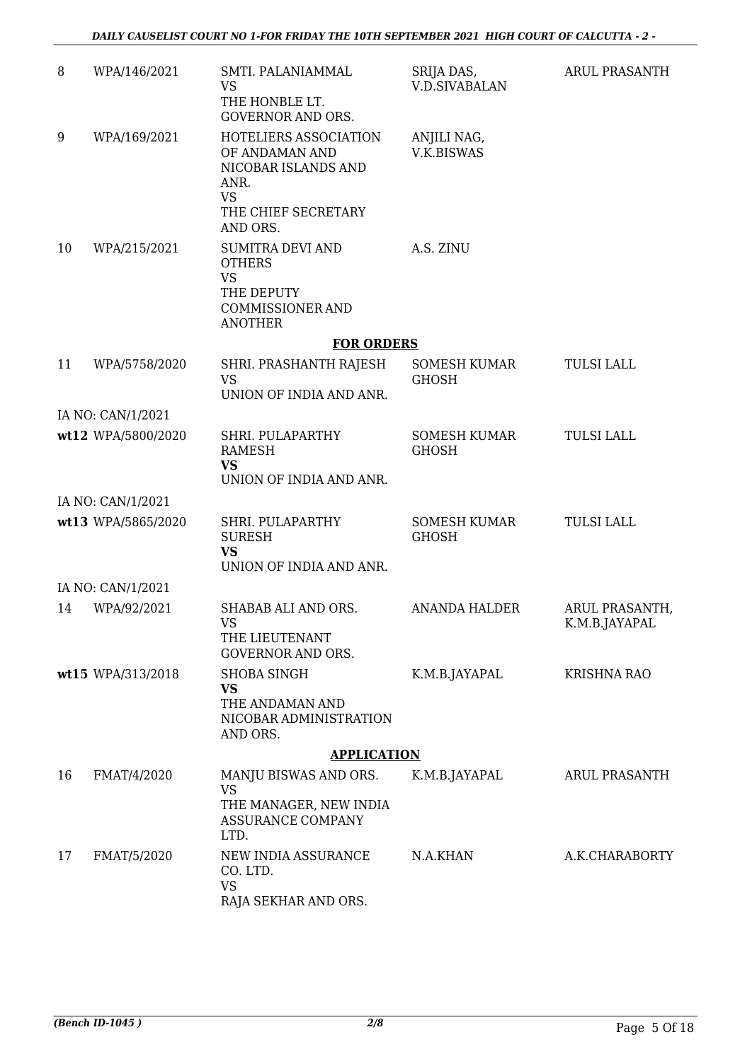| 8  | WPA/146/2021       | SMTI. PALANIAMMAL<br><b>VS</b><br>THE HONBLE LT.<br><b>GOVERNOR AND ORS.</b>                                                 | SRIJA DAS,<br><b>V.D.SIVABALAN</b>  | ARUL PRASANTH                   |
|----|--------------------|------------------------------------------------------------------------------------------------------------------------------|-------------------------------------|---------------------------------|
| 9  | WPA/169/2021       | HOTELIERS ASSOCIATION<br>OF ANDAMAN AND<br>NICOBAR ISLANDS AND<br>ANR.<br><b>VS</b><br>THE CHIEF SECRETARY                   | ANJILI NAG,<br>V.K.BISWAS           |                                 |
| 10 | WPA/215/2021       | AND ORS.<br><b>SUMITRA DEVI AND</b><br><b>OTHERS</b><br><b>VS</b><br>THE DEPUTY<br><b>COMMISSIONER AND</b><br><b>ANOTHER</b> | A.S. ZINU                           |                                 |
|    |                    | <b>FOR ORDERS</b>                                                                                                            |                                     |                                 |
| 11 | WPA/5758/2020      | SHRI. PRASHANTH RAJESH<br><b>VS</b><br>UNION OF INDIA AND ANR.                                                               | <b>SOMESH KUMAR</b><br><b>GHOSH</b> | <b>TULSI LALL</b>               |
|    | IA NO: CAN/1/2021  |                                                                                                                              |                                     |                                 |
|    | wt12 WPA/5800/2020 | SHRI. PULAPARTHY<br><b>RAMESH</b><br><b>VS</b><br>UNION OF INDIA AND ANR.                                                    | <b>SOMESH KUMAR</b><br><b>GHOSH</b> | <b>TULSI LALL</b>               |
|    |                    |                                                                                                                              |                                     |                                 |
|    | IA NO: CAN/1/2021  |                                                                                                                              |                                     |                                 |
|    | wt13 WPA/5865/2020 | SHRI. PULAPARTHY<br><b>SURESH</b><br><b>VS</b><br>UNION OF INDIA AND ANR.                                                    | <b>SOMESH KUMAR</b><br><b>GHOSH</b> | <b>TULSI LALL</b>               |
|    | IA NO: CAN/1/2021  |                                                                                                                              |                                     |                                 |
| 14 | WPA/92/2021        | SHABAB ALI AND ORS.<br><b>VS</b><br>THE LIEUTENANT<br><b>GOVERNOR AND ORS.</b>                                               | <b>ANANDA HALDER</b>                | ARUL PRASANTH,<br>K.M.B.JAYAPAL |
|    | wt15 WPA/313/2018  | <b>SHOBA SINGH</b><br><b>VS</b><br>THE ANDAMAN AND<br>NICOBAR ADMINISTRATION<br>AND ORS.                                     | K.M.B.JAYAPAL                       | <b>KRISHNA RAO</b>              |
|    |                    | <b>APPLICATION</b>                                                                                                           |                                     |                                 |
| 16 | FMAT/4/2020        | MANJU BISWAS AND ORS.<br><b>VS</b><br>THE MANAGER, NEW INDIA<br><b>ASSURANCE COMPANY</b><br>LTD.                             | K.M.B.JAYAPAL                       | ARUL PRASANTH                   |
| 17 | FMAT/5/2020        | NEW INDIA ASSURANCE<br>CO. LTD.<br><b>VS</b><br>RAJA SEKHAR AND ORS.                                                         | N.A.KHAN                            | A.K.CHARABORTY                  |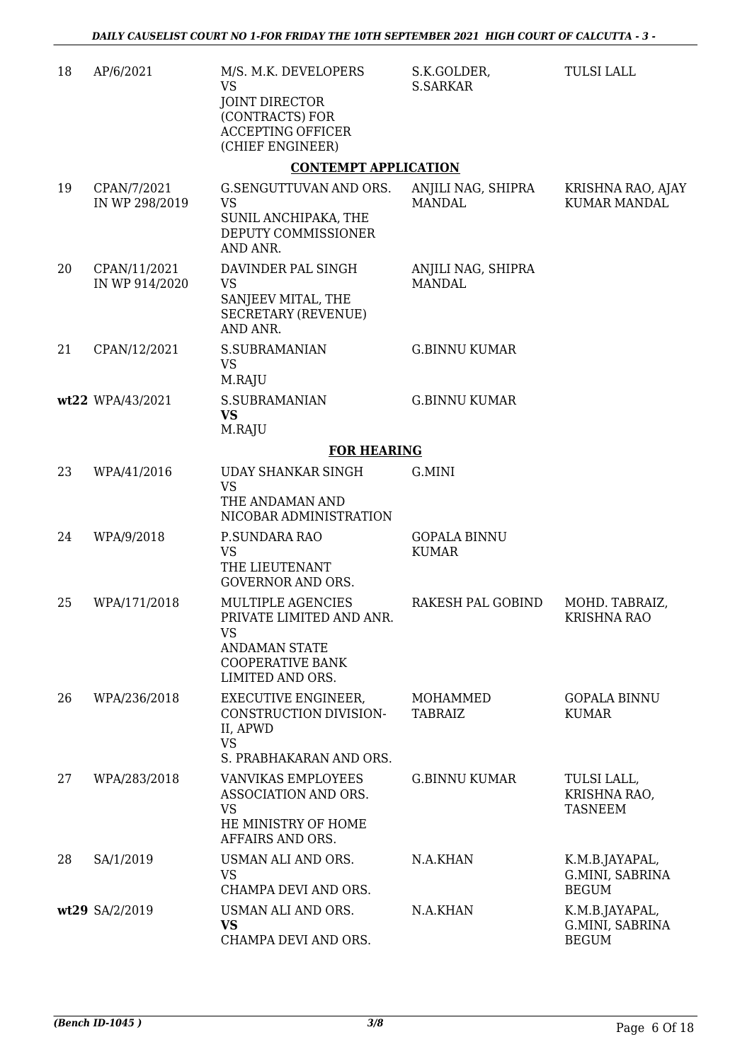| 18 | AP/6/2021                      | M/S. M.K. DEVELOPERS<br><b>VS</b><br><b>JOINT DIRECTOR</b><br>(CONTRACTS) FOR<br><b>ACCEPTING OFFICER</b><br>(CHIEF ENGINEER)     | S.K.GOLDER,<br><b>S.SARKAR</b>      | <b>TULSI LALL</b>                                 |
|----|--------------------------------|-----------------------------------------------------------------------------------------------------------------------------------|-------------------------------------|---------------------------------------------------|
|    |                                | <b>CONTEMPT APPLICATION</b>                                                                                                       |                                     |                                                   |
| 19 | CPAN/7/2021<br>IN WP 298/2019  | G.SENGUTTUVAN AND ORS.<br><b>VS</b><br>SUNIL ANCHIPAKA, THE<br>DEPUTY COMMISSIONER<br>AND ANR.                                    | ANJILI NAG, SHIPRA<br><b>MANDAL</b> | KRISHNA RAO, AJAY<br><b>KUMAR MANDAL</b>          |
| 20 | CPAN/11/2021<br>IN WP 914/2020 | DAVINDER PAL SINGH<br><b>VS</b><br>SANJEEV MITAL, THE<br><b>SECRETARY (REVENUE)</b><br>AND ANR.                                   | ANJILI NAG, SHIPRA<br><b>MANDAL</b> |                                                   |
| 21 | CPAN/12/2021                   | <b>S.SUBRAMANIAN</b><br><b>VS</b><br>M.RAJU                                                                                       | <b>G.BINNU KUMAR</b>                |                                                   |
|    | wt22 WPA/43/2021               | <b>S.SUBRAMANIAN</b><br><b>VS</b><br>M.RAJU                                                                                       | <b>G.BINNU KUMAR</b>                |                                                   |
|    |                                | <b>FOR HEARING</b>                                                                                                                |                                     |                                                   |
| 23 | WPA/41/2016                    | <b>UDAY SHANKAR SINGH</b><br><b>VS</b><br>THE ANDAMAN AND                                                                         | G.MINI                              |                                                   |
| 24 | WPA/9/2018                     | NICOBAR ADMINISTRATION<br>P.SUNDARA RAO<br><b>VS</b><br>THE LIEUTENANT<br><b>GOVERNOR AND ORS.</b>                                | <b>GOPALA BINNU</b><br><b>KUMAR</b> |                                                   |
| 25 | WPA/171/2018                   | MULTIPLE AGENCIES<br>PRIVATE LIMITED AND ANR.<br><b>VS</b><br><b>ANDAMAN STATE</b><br><b>COOPERATIVE BANK</b><br>LIMITED AND ORS. | RAKESH PAL GOBIND                   | MOHD. TABRAIZ,<br><b>KRISHNA RAO</b>              |
| 26 | WPA/236/2018                   | <b>EXECUTIVE ENGINEER,</b><br>CONSTRUCTION DIVISION-<br>II, APWD<br><b>VS</b><br>S. PRABHAKARAN AND ORS.                          | MOHAMMED<br><b>TABRAIZ</b>          | <b>GOPALA BINNU</b><br><b>KUMAR</b>               |
| 27 | WPA/283/2018                   | <b>VANVIKAS EMPLOYEES</b><br>ASSOCIATION AND ORS.<br><b>VS</b><br>HE MINISTRY OF HOME<br>AFFAIRS AND ORS.                         | <b>G.BINNU KUMAR</b>                | TULSI LALL,<br>KRISHNA RAO,<br><b>TASNEEM</b>     |
| 28 | SA/1/2019                      | USMAN ALI AND ORS.<br><b>VS</b><br>CHAMPA DEVI AND ORS.                                                                           | N.A.KHAN                            | K.M.B.JAYAPAL,<br>G.MINI, SABRINA<br><b>BEGUM</b> |
|    | wt29 SA/2/2019                 | USMAN ALI AND ORS.<br><b>VS</b><br>CHAMPA DEVI AND ORS.                                                                           | N.A.KHAN                            | K.M.B.JAYAPAL,<br>G.MINI, SABRINA<br><b>BEGUM</b> |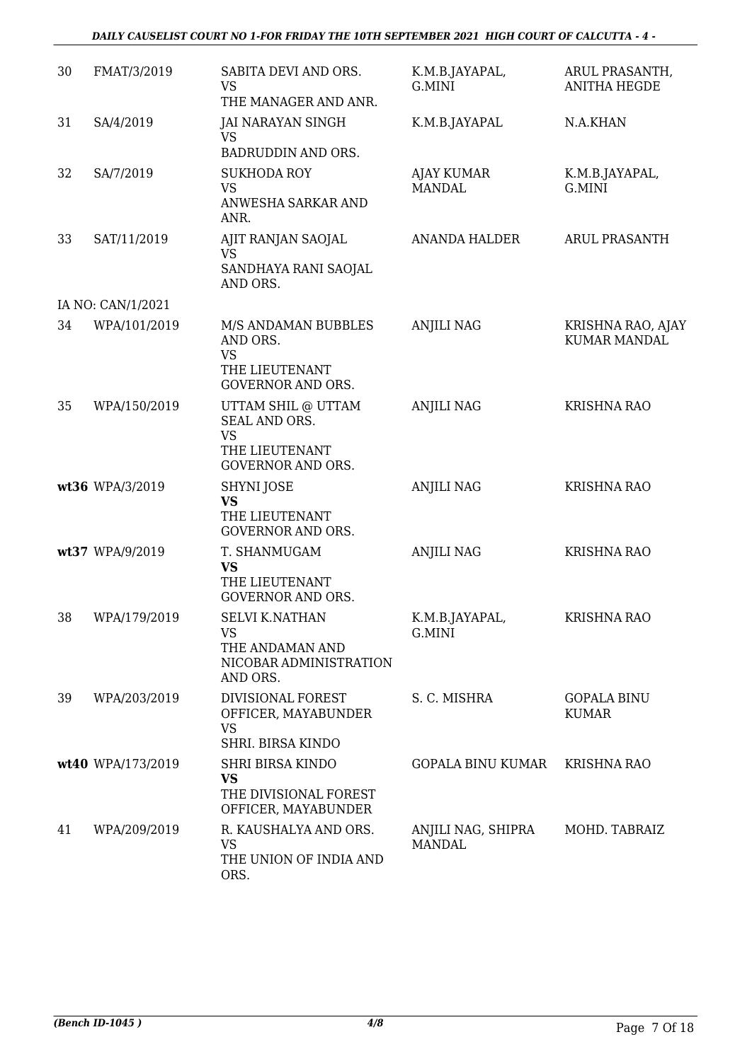#### *DAILY CAUSELIST COURT NO 1-FOR FRIDAY THE 10TH SEPTEMBER 2021 HIGH COURT OF CALCUTTA - 4 -*

| 30 | FMAT/3/2019       | SABITA DEVI AND ORS.<br><b>VS</b><br>THE MANAGER AND ANR.                                      | K.M.B.JAYAPAL,<br>G.MINI            | ARUL PRASANTH,<br><b>ANITHA HEGDE</b>    |
|----|-------------------|------------------------------------------------------------------------------------------------|-------------------------------------|------------------------------------------|
| 31 | SA/4/2019         | JAI NARAYAN SINGH<br><b>VS</b><br>BADRUDDIN AND ORS.                                           | K.M.B.JAYAPAL                       | N.A.KHAN                                 |
| 32 | SA/7/2019         | <b>SUKHODA ROY</b><br><b>VS</b><br>ANWESHA SARKAR AND<br>ANR.                                  | AJAY KUMAR<br><b>MANDAL</b>         | K.M.B.JAYAPAL,<br>G.MINI                 |
| 33 | SAT/11/2019       | AJIT RANJAN SAOJAL<br>VS<br>SANDHAYA RANI SAOJAL<br>AND ORS.                                   | <b>ANANDA HALDER</b>                | <b>ARUL PRASANTH</b>                     |
|    | IA NO: CAN/1/2021 |                                                                                                |                                     |                                          |
| 34 | WPA/101/2019      | M/S ANDAMAN BUBBLES<br>AND ORS.<br><b>VS</b><br>THE LIEUTENANT<br><b>GOVERNOR AND ORS.</b>     | <b>ANJILI NAG</b>                   | KRISHNA RAO, AJAY<br><b>KUMAR MANDAL</b> |
| 35 | WPA/150/2019      | UTTAM SHIL @ UTTAM<br>SEAL AND ORS.<br><b>VS</b><br>THE LIEUTENANT<br><b>GOVERNOR AND ORS.</b> | <b>ANJILI NAG</b>                   | <b>KRISHNA RAO</b>                       |
|    | wt36 WPA/3/2019   | <b>SHYNI JOSE</b><br><b>VS</b><br>THE LIEUTENANT<br><b>GOVERNOR AND ORS.</b>                   | <b>ANJILI NAG</b>                   | <b>KRISHNA RAO</b>                       |
|    | wt37 WPA/9/2019   | T. SHANMUGAM<br><b>VS</b><br>THE LIEUTENANT<br><b>GOVERNOR AND ORS.</b>                        | <b>ANJILI NAG</b>                   | <b>KRISHNA RAO</b>                       |
| 38 | WPA/179/2019      | <b>SELVI K.NATHAN</b><br><b>VS</b><br>THE ANDAMAN AND<br>NICOBAR ADMINISTRATION<br>AND ORS.    | K.M.B.JAYAPAL,<br>G.MINI            | <b>KRISHNA RAO</b>                       |
| 39 | WPA/203/2019      | <b>DIVISIONAL FOREST</b><br>OFFICER, MAYABUNDER<br><b>VS</b><br>SHRI. BIRSA KINDO              | S. C. MISHRA                        | <b>GOPALA BINU</b><br><b>KUMAR</b>       |
|    | wt40 WPA/173/2019 | <b>SHRI BIRSA KINDO</b>                                                                        | <b>GOPALA BINU KUMAR</b>            | <b>KRISHNA RAO</b>                       |
|    |                   | <b>VS</b><br>THE DIVISIONAL FOREST<br>OFFICER, MAYABUNDER                                      |                                     |                                          |
| 41 | WPA/209/2019      | R. KAUSHALYA AND ORS.<br><b>VS</b><br>THE UNION OF INDIA AND<br>ORS.                           | ANJILI NAG, SHIPRA<br><b>MANDAL</b> | MOHD. TABRAIZ                            |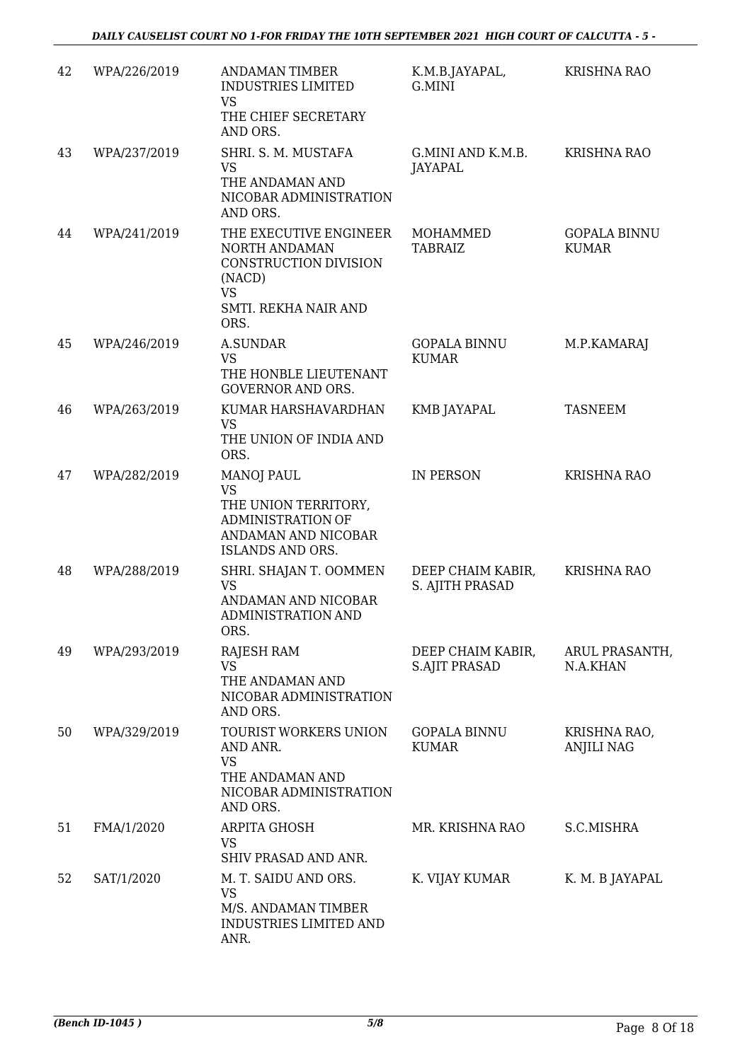| 42 | WPA/226/2019 | <b>ANDAMAN TIMBER</b><br><b>INDUSTRIES LIMITED</b><br><b>VS</b><br>THE CHIEF SECRETARY<br>AND ORS.                                   | K.M.B.JAYAPAL,<br>G.MINI                  | <b>KRISHNA RAO</b>                  |
|----|--------------|--------------------------------------------------------------------------------------------------------------------------------------|-------------------------------------------|-------------------------------------|
| 43 | WPA/237/2019 | SHRI. S. M. MUSTAFA<br><b>VS</b><br>THE ANDAMAN AND<br>NICOBAR ADMINISTRATION<br>AND ORS.                                            | G.MINI AND K.M.B.<br><b>JAYAPAL</b>       | KRISHNA RAO                         |
| 44 | WPA/241/2019 | THE EXECUTIVE ENGINEER<br>NORTH ANDAMAN<br>CONSTRUCTION DIVISION<br>(NACD)<br><b>VS</b><br>SMTI. REKHA NAIR AND<br>ORS.              | MOHAMMED<br><b>TABRAIZ</b>                | <b>GOPALA BINNU</b><br><b>KUMAR</b> |
| 45 | WPA/246/2019 | <b>A.SUNDAR</b><br><b>VS</b><br>THE HONBLE LIEUTENANT<br><b>GOVERNOR AND ORS.</b>                                                    | <b>GOPALA BINNU</b><br><b>KUMAR</b>       | M.P.KAMARAJ                         |
| 46 | WPA/263/2019 | KUMAR HARSHAVARDHAN<br><b>VS</b><br>THE UNION OF INDIA AND<br>ORS.                                                                   | <b>KMB JAYAPAL</b>                        | <b>TASNEEM</b>                      |
| 47 | WPA/282/2019 | <b>MANOJ PAUL</b><br><b>VS</b><br>THE UNION TERRITORY,<br><b>ADMINISTRATION OF</b><br>ANDAMAN AND NICOBAR<br><b>ISLANDS AND ORS.</b> | <b>IN PERSON</b>                          | <b>KRISHNA RAO</b>                  |
| 48 | WPA/288/2019 | SHRI. SHAJAN T. OOMMEN<br><b>VS</b><br>ANDAMAN AND NICOBAR<br><b>ADMINISTRATION AND</b><br>ORS.                                      | DEEP CHAIM KABIR,<br>S. AJITH PRASAD      | <b>KRISHNA RAO</b>                  |
| 49 | WPA/293/2019 | <b>RAJESH RAM</b><br><b>VS</b><br>THE ANDAMAN AND<br>NICOBAR ADMINISTRATION<br>AND ORS.                                              | DEEP CHAIM KABIR,<br><b>S.AJIT PRASAD</b> | ARUL PRASANTH,<br>N.A.KHAN          |
| 50 | WPA/329/2019 | TOURIST WORKERS UNION<br>AND ANR.<br><b>VS</b><br>THE ANDAMAN AND<br>NICOBAR ADMINISTRATION<br>AND ORS.                              | <b>GOPALA BINNU</b><br><b>KUMAR</b>       | KRISHNA RAO,<br><b>ANJILI NAG</b>   |
| 51 | FMA/1/2020   | <b>ARPITA GHOSH</b><br><b>VS</b><br>SHIV PRASAD AND ANR.                                                                             | MR. KRISHNA RAO                           | S.C.MISHRA                          |
| 52 | SAT/1/2020   | M. T. SAIDU AND ORS.<br><b>VS</b><br>M/S. ANDAMAN TIMBER<br><b>INDUSTRIES LIMITED AND</b><br>ANR.                                    | K. VIJAY KUMAR                            | K. M. B JAYAPAL                     |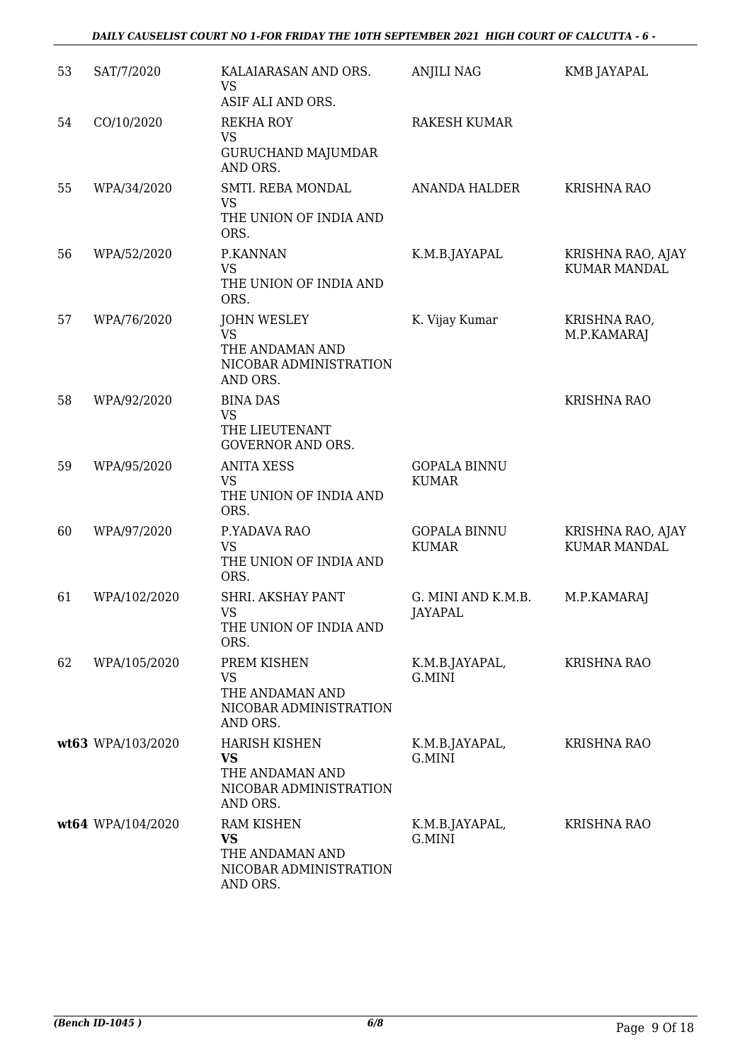#### *DAILY CAUSELIST COURT NO 1-FOR FRIDAY THE 10TH SEPTEMBER 2021 HIGH COURT OF CALCUTTA - 6 -*

| 53 | SAT/7/2020        | KALAIARASAN AND ORS.<br><b>VS</b><br>ASIF ALI AND ORS.                                   | <b>ANJILI NAG</b>                    | KMB JAYAPAL                              |
|----|-------------------|------------------------------------------------------------------------------------------|--------------------------------------|------------------------------------------|
| 54 | CO/10/2020        | <b>REKHA ROY</b><br><b>VS</b><br><b>GURUCHAND MAJUMDAR</b><br>AND ORS.                   | <b>RAKESH KUMAR</b>                  |                                          |
| 55 | WPA/34/2020       | SMTI. REBA MONDAL<br><b>VS</b><br>THE UNION OF INDIA AND<br>ORS.                         | <b>ANANDA HALDER</b>                 | <b>KRISHNA RAO</b>                       |
| 56 | WPA/52/2020       | P.KANNAN<br><b>VS</b><br>THE UNION OF INDIA AND<br>ORS.                                  | K.M.B.JAYAPAL                        | KRISHNA RAO, AJAY<br><b>KUMAR MANDAL</b> |
| 57 | WPA/76/2020       | <b>JOHN WESLEY</b><br><b>VS</b><br>THE ANDAMAN AND<br>NICOBAR ADMINISTRATION<br>AND ORS. | K. Vijay Kumar                       | KRISHNA RAO,<br>M.P.KAMARAJ              |
| 58 | WPA/92/2020       | <b>BINA DAS</b><br><b>VS</b><br>THE LIEUTENANT<br><b>GOVERNOR AND ORS.</b>               |                                      | <b>KRISHNA RAO</b>                       |
| 59 | WPA/95/2020       | <b>ANITA XESS</b><br><b>VS</b><br>THE UNION OF INDIA AND<br>ORS.                         | <b>GOPALA BINNU</b><br><b>KUMAR</b>  |                                          |
| 60 | WPA/97/2020       | P.YADAVA RAO<br><b>VS</b><br>THE UNION OF INDIA AND<br>ORS.                              | <b>GOPALA BINNU</b><br><b>KUMAR</b>  | KRISHNA RAO, AJAY<br><b>KUMAR MANDAL</b> |
| 61 | WPA/102/2020      | SHRI. AKSHAY PANT<br><b>VS</b><br>THE UNION OF INDIA AND<br>ORS.                         | G. MINI AND K.M.B.<br><b>JAYAPAL</b> | M.P.KAMARAJ                              |
| 62 | WPA/105/2020      | PREM KISHEN<br><b>VS</b><br>THE ANDAMAN AND<br>NICOBAR ADMINISTRATION<br>AND ORS.        | K.M.B.JAYAPAL,<br>G.MINI             | <b>KRISHNA RAO</b>                       |
|    | wt63 WPA/103/2020 | <b>HARISH KISHEN</b><br>VS<br>THE ANDAMAN AND<br>NICOBAR ADMINISTRATION<br>AND ORS.      | K.M.B.JAYAPAL,<br>G.MINI             | <b>KRISHNA RAO</b>                       |
|    | wt64 WPA/104/2020 | <b>RAM KISHEN</b><br><b>VS</b><br>THE ANDAMAN AND<br>NICOBAR ADMINISTRATION<br>AND ORS.  | K.M.B.JAYAPAL,<br>G.MINI             | <b>KRISHNA RAO</b>                       |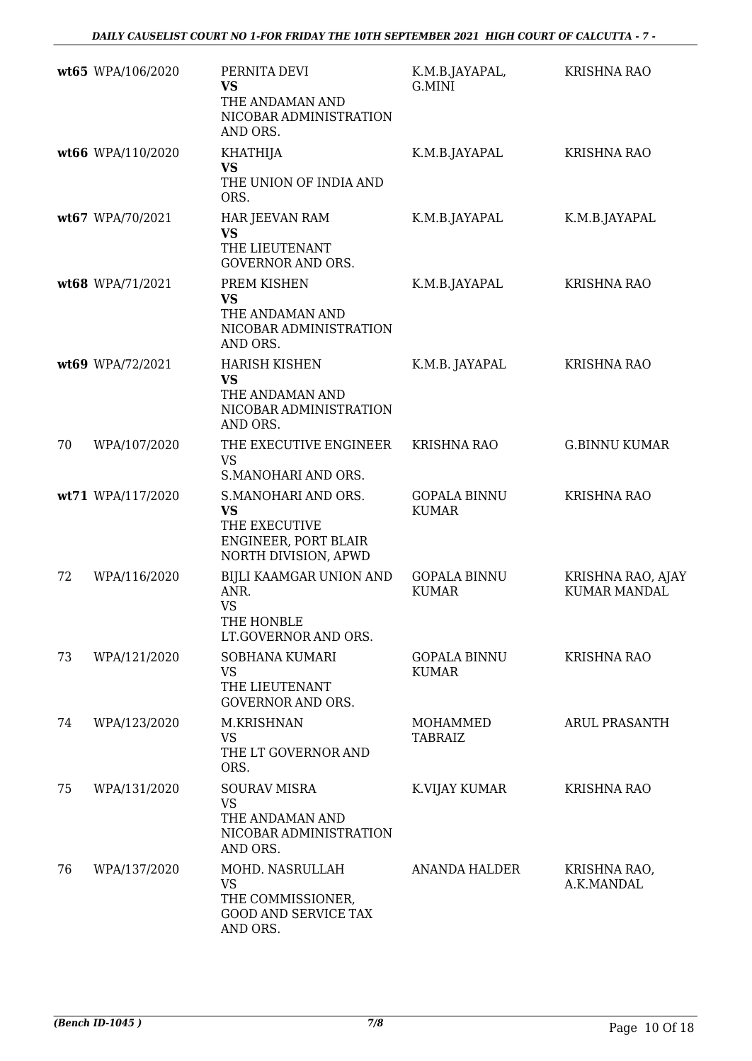|    | wt65 WPA/106/2020 | PERNITA DEVI<br><b>VS</b><br>THE ANDAMAN AND<br>NICOBAR ADMINISTRATION<br>AND ORS.                | K.M.B.JAYAPAL,<br>G.MINI            | <b>KRISHNA RAO</b>                       |
|----|-------------------|---------------------------------------------------------------------------------------------------|-------------------------------------|------------------------------------------|
|    | wt66 WPA/110/2020 | <b>KHATHIJA</b><br><b>VS</b><br>THE UNION OF INDIA AND<br>ORS.                                    | K.M.B.JAYAPAL                       | <b>KRISHNA RAO</b>                       |
|    | wt67 WPA/70/2021  | <b>HAR JEEVAN RAM</b><br><b>VS</b><br>THE LIEUTENANT<br><b>GOVERNOR AND ORS.</b>                  | K.M.B.JAYAPAL                       | K.M.B.JAYAPAL                            |
|    | wt68 WPA/71/2021  | PREM KISHEN<br><b>VS</b><br>THE ANDAMAN AND<br>NICOBAR ADMINISTRATION<br>AND ORS.                 | K.M.B.JAYAPAL                       | <b>KRISHNA RAO</b>                       |
|    | wt69 WPA/72/2021  | <b>HARISH KISHEN</b><br><b>VS</b><br>THE ANDAMAN AND<br>NICOBAR ADMINISTRATION<br>AND ORS.        | K.M.B. JAYAPAL                      | <b>KRISHNA RAO</b>                       |
| 70 | WPA/107/2020      | THE EXECUTIVE ENGINEER<br><b>VS</b><br>S.MANOHARI AND ORS.                                        | <b>KRISHNA RAO</b>                  | <b>G.BINNU KUMAR</b>                     |
|    | wt71 WPA/117/2020 | S.MANOHARI AND ORS.<br><b>VS</b><br>THE EXECUTIVE<br>ENGINEER, PORT BLAIR<br>NORTH DIVISION, APWD | <b>GOPALA BINNU</b><br><b>KUMAR</b> | <b>KRISHNA RAO</b>                       |
| 72 | WPA/116/2020      | BIJLI KAAMGAR UNION AND<br>ANR.<br><b>VS</b><br>THE HONBLE<br>LT.GOVERNOR AND ORS.                | <b>GOPALA BINNU</b><br><b>KUMAR</b> | KRISHNA RAO, AJAY<br><b>KUMAR MANDAL</b> |
| 73 | WPA/121/2020      | SOBHANA KUMARI<br><b>VS</b><br>THE LIEUTENANT<br><b>GOVERNOR AND ORS.</b>                         | <b>GOPALA BINNU</b><br>KUMAR        | <b>KRISHNA RAO</b>                       |
| 74 | WPA/123/2020      | M.KRISHNAN<br><b>VS</b><br>THE LT GOVERNOR AND<br>ORS.                                            | MOHAMMED<br>TABRAIZ                 | <b>ARUL PRASANTH</b>                     |
| 75 | WPA/131/2020      | <b>SOURAV MISRA</b><br><b>VS</b><br>THE ANDAMAN AND<br>NICOBAR ADMINISTRATION<br>AND ORS.         | K.VIJAY KUMAR                       | <b>KRISHNA RAO</b>                       |
| 76 | WPA/137/2020      | MOHD. NASRULLAH<br><b>VS</b><br>THE COMMISSIONER,<br><b>GOOD AND SERVICE TAX</b><br>AND ORS.      | <b>ANANDA HALDER</b>                | KRISHNA RAO,<br>A.K.MANDAL               |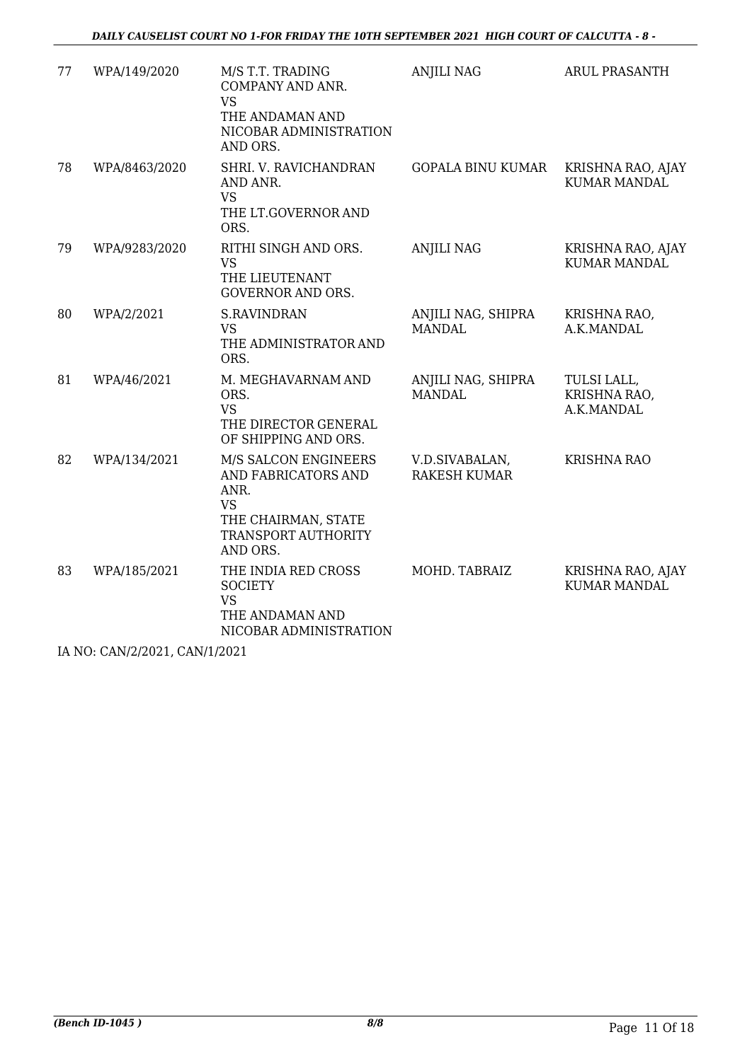| 77 | WPA/149/2020  | M/S T.T. TRADING<br>COMPANY AND ANR.<br><b>VS</b><br>THE ANDAMAN AND<br>NICOBAR ADMINISTRATION<br>AND ORS.                 | <b>ANJILI NAG</b>                     | <b>ARUL PRASANTH</b>                      |
|----|---------------|----------------------------------------------------------------------------------------------------------------------------|---------------------------------------|-------------------------------------------|
| 78 | WPA/8463/2020 | SHRI. V. RAVICHANDRAN<br>AND ANR.<br><b>VS</b><br>THE LT.GOVERNOR AND<br>ORS.                                              | <b>GOPALA BINU KUMAR</b>              | KRISHNA RAO, AJAY<br><b>KUMAR MANDAL</b>  |
| 79 | WPA/9283/2020 | RITHI SINGH AND ORS.<br><b>VS</b><br>THE LIEUTENANT<br><b>GOVERNOR AND ORS.</b>                                            | <b>ANJILI NAG</b>                     | KRISHNA RAO, AJAY<br><b>KUMAR MANDAL</b>  |
| 80 | WPA/2/2021    | <b>S.RAVINDRAN</b><br><b>VS</b><br>THE ADMINISTRATOR AND<br>ORS.                                                           | ANJILI NAG, SHIPRA<br><b>MANDAL</b>   | KRISHNA RAO,<br>A.K.MANDAL                |
| 81 | WPA/46/2021   | M. MEGHAVARNAM AND<br>ORS.<br><b>VS</b><br>THE DIRECTOR GENERAL<br>OF SHIPPING AND ORS.                                    | ANJILI NAG, SHIPRA<br><b>MANDAL</b>   | TULSI LALL,<br>KRISHNA RAO,<br>A.K.MANDAL |
| 82 | WPA/134/2021  | M/S SALCON ENGINEERS<br>AND FABRICATORS AND<br>ANR.<br><b>VS</b><br>THE CHAIRMAN, STATE<br>TRANSPORT AUTHORITY<br>AND ORS. | V.D.SIVABALAN,<br><b>RAKESH KUMAR</b> | <b>KRISHNA RAO</b>                        |
| 83 | WPA/185/2021  | THE INDIA RED CROSS<br><b>SOCIETY</b><br><b>VS</b><br>THE ANDAMAN AND<br>NICOBAR ADMINISTRATION                            | MOHD. TABRAIZ                         | KRISHNA RAO, AJAY<br><b>KUMAR MANDAL</b>  |

IA NO: CAN/2/2021, CAN/1/2021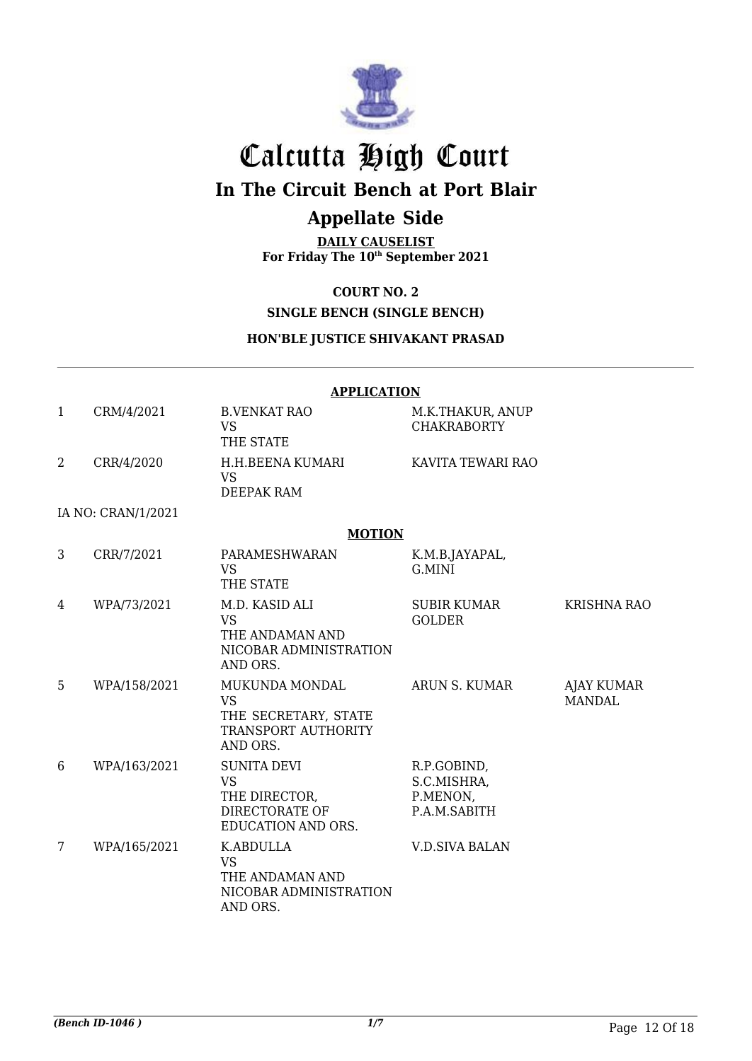

# Calcutta High Court

## **In The Circuit Bench at Port Blair**

## **Appellate Side**

**DAILY CAUSELIST For Friday The 10th September 2021**

#### **COURT NO. 2**

### **SINGLE BENCH (SINGLE BENCH)**

#### **HON'BLE JUSTICE SHIVAKANT PRASAD**

|                |                    | <b>APPLICATION</b>                                                                       |                                                        |                                    |
|----------------|--------------------|------------------------------------------------------------------------------------------|--------------------------------------------------------|------------------------------------|
| $\mathbf{1}$   | CRM/4/2021         | <b>B.VENKAT RAO</b><br><b>VS</b><br>THE STATE                                            | M.K.THAKUR, ANUP<br><b>CHAKRABORTY</b>                 |                                    |
| $\overline{2}$ | CRR/4/2020         | H.H.BEENA KUMARI<br><b>VS</b><br><b>DEEPAK RAM</b>                                       | KAVITA TEWARI RAO                                      |                                    |
|                | IA NO: CRAN/1/2021 |                                                                                          |                                                        |                                    |
|                |                    | <b>MOTION</b>                                                                            |                                                        |                                    |
| 3              | CRR/7/2021         | PARAMESHWARAN<br><b>VS</b><br>THE STATE                                                  | K.M.B.JAYAPAL,<br>G.MINI                               |                                    |
| $\overline{4}$ | WPA/73/2021        | M.D. KASID ALI<br><b>VS</b><br>THE ANDAMAN AND<br>NICOBAR ADMINISTRATION<br>AND ORS.     | SUBIR KUMAR<br><b>GOLDER</b>                           | <b>KRISHNA RAO</b>                 |
| 5              | WPA/158/2021       | MUKUNDA MONDAL<br><b>VS</b><br>THE SECRETARY, STATE<br>TRANSPORT AUTHORITY<br>AND ORS.   | ARUN S. KUMAR                                          | <b>AJAY KUMAR</b><br><b>MANDAL</b> |
| 6              | WPA/163/2021       | <b>SUNITA DEVI</b><br><b>VS</b><br>THE DIRECTOR,<br>DIRECTORATE OF<br>EDUCATION AND ORS. | R.P.GOBIND,<br>S.C.MISHRA,<br>P.MENON,<br>P.A.M.SABITH |                                    |
| 7              | WPA/165/2021       | <b>K.ABDULLA</b><br><b>VS</b><br>THE ANDAMAN AND<br>NICOBAR ADMINISTRATION<br>AND ORS.   | <b>V.D.SIVA BALAN</b>                                  |                                    |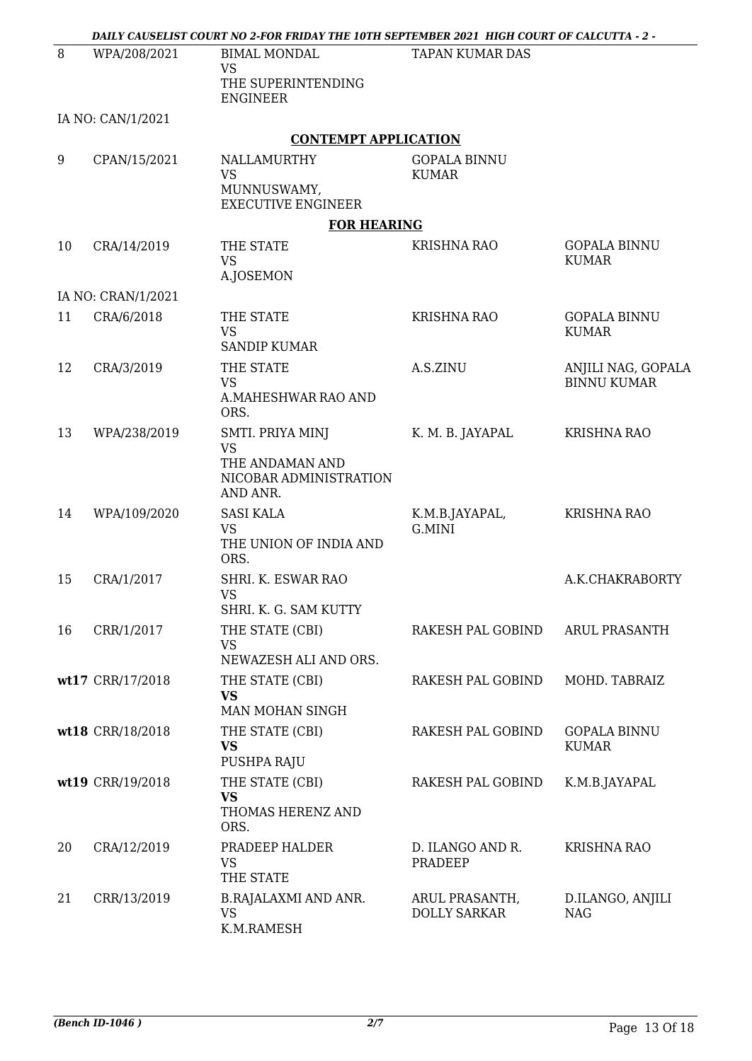|    |                    | DAILY CAUSELIST COURT NO 2-FOR FRIDAY THE 10TH SEPTEMBER 2021 HIGH COURT OF CALCUTTA - 2 - |                                       |                                          |
|----|--------------------|--------------------------------------------------------------------------------------------|---------------------------------------|------------------------------------------|
| 8  | WPA/208/2021       | <b>BIMAL MONDAL</b><br><b>VS</b><br>THE SUPERINTENDING                                     | <b>TAPAN KUMAR DAS</b>                |                                          |
|    |                    | <b>ENGINEER</b>                                                                            |                                       |                                          |
|    | IA NO: CAN/1/2021  |                                                                                            |                                       |                                          |
|    |                    | <b>CONTEMPT APPLICATION</b>                                                                |                                       |                                          |
| 9  | CPAN/15/2021       | NALLAMURTHY<br><b>VS</b><br>MUNNUSWAMY,<br><b>EXECUTIVE ENGINEER</b>                       | <b>GOPALA BINNU</b><br><b>KUMAR</b>   |                                          |
|    |                    | <b>FOR HEARING</b>                                                                         |                                       |                                          |
| 10 | CRA/14/2019        | THE STATE<br><b>VS</b><br>A.JOSEMON                                                        | <b>KRISHNA RAO</b>                    | <b>GOPALA BINNU</b><br><b>KUMAR</b>      |
|    | IA NO: CRAN/1/2021 |                                                                                            |                                       |                                          |
| 11 | CRA/6/2018         | THE STATE<br><b>VS</b><br><b>SANDIP KUMAR</b>                                              | <b>KRISHNA RAO</b>                    | <b>GOPALA BINNU</b><br><b>KUMAR</b>      |
| 12 | CRA/3/2019         | THE STATE<br><b>VS</b><br>A.MAHESHWAR RAO AND<br>ORS.                                      | A.S.ZINU                              | ANJILI NAG, GOPALA<br><b>BINNU KUMAR</b> |
| 13 | WPA/238/2019       | SMTI. PRIYA MINJ<br><b>VS</b><br>THE ANDAMAN AND<br>NICOBAR ADMINISTRATION<br>AND ANR.     | K. M. B. JAYAPAL                      | <b>KRISHNA RAO</b>                       |
| 14 | WPA/109/2020       | <b>SASI KALA</b><br><b>VS</b><br>THE UNION OF INDIA AND<br>ORS.                            | K.M.B.JAYAPAL,<br>G.MINI              | <b>KRISHNA RAO</b>                       |
| 15 | CRA/1/2017         | SHRI. K. ESWAR RAO<br><b>VS</b><br>SHRI. K. G. SAM KUTTY                                   |                                       | A.K.CHAKRABORTY                          |
| 16 | CRR/1/2017         | THE STATE (CBI)<br><b>VS</b><br>NEWAZESH ALI AND ORS.                                      | RAKESH PAL GOBIND                     | <b>ARUL PRASANTH</b>                     |
|    | wt17 CRR/17/2018   | THE STATE (CBI)<br><b>VS</b><br>MAN MOHAN SINGH                                            | RAKESH PAL GOBIND                     | MOHD. TABRAIZ                            |
|    | wt18 CRR/18/2018   | THE STATE (CBI)<br><b>VS</b><br>PUSHPA RAJU                                                | RAKESH PAL GOBIND                     | <b>GOPALA BINNU</b><br><b>KUMAR</b>      |
|    | wt19 CRR/19/2018   | THE STATE (CBI)<br><b>VS</b><br>THOMAS HERENZ AND<br>ORS.                                  | RAKESH PAL GOBIND                     | K.M.B.JAYAPAL                            |
| 20 | CRA/12/2019        | PRADEEP HALDER<br><b>VS</b><br>THE STATE                                                   | D. ILANGO AND R.<br>PRADEEP           | <b>KRISHNA RAO</b>                       |
| 21 | CRR/13/2019        | B.RAJALAXMI AND ANR.<br><b>VS</b><br>K.M.RAMESH                                            | ARUL PRASANTH,<br><b>DOLLY SARKAR</b> | D.ILANGO, ANJILI<br>NAG                  |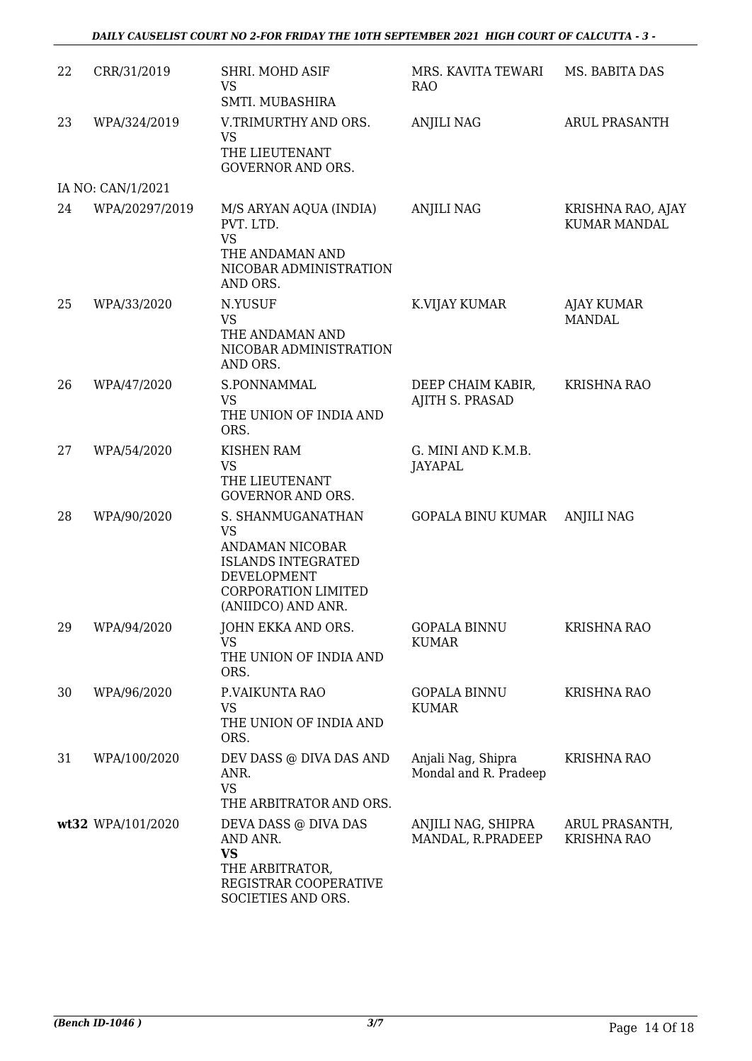| 22 | CRR/31/2019       | SHRI. MOHD ASIF<br><b>VS</b><br>SMTI. MUBASHIRA                                                                                                   | MRS. KAVITA TEWARI<br><b>RAO</b>            | MS. BABITA DAS                           |
|----|-------------------|---------------------------------------------------------------------------------------------------------------------------------------------------|---------------------------------------------|------------------------------------------|
| 23 | WPA/324/2019      | V.TRIMURTHY AND ORS.<br><b>VS</b><br>THE LIEUTENANT<br><b>GOVERNOR AND ORS.</b>                                                                   | <b>ANJILI NAG</b>                           | <b>ARUL PRASANTH</b>                     |
|    | IA NO: CAN/1/2021 |                                                                                                                                                   |                                             |                                          |
| 24 | WPA/20297/2019    | M/S ARYAN AQUA (INDIA)<br>PVT. LTD.<br><b>VS</b><br>THE ANDAMAN AND<br>NICOBAR ADMINISTRATION<br>AND ORS.                                         | <b>ANJILI NAG</b>                           | KRISHNA RAO, AJAY<br><b>KUMAR MANDAL</b> |
| 25 | WPA/33/2020       | N.YUSUF<br><b>VS</b><br>THE ANDAMAN AND<br>NICOBAR ADMINISTRATION<br>AND ORS.                                                                     | K.VIJAY KUMAR                               | AJAY KUMAR<br><b>MANDAL</b>              |
| 26 | WPA/47/2020       | S.PONNAMMAL<br>VS.<br>THE UNION OF INDIA AND<br>ORS.                                                                                              | DEEP CHAIM KABIR,<br>AJITH S. PRASAD        | <b>KRISHNA RAO</b>                       |
| 27 | WPA/54/2020       | <b>KISHEN RAM</b><br><b>VS</b><br>THE LIEUTENANT<br><b>GOVERNOR AND ORS.</b>                                                                      | G. MINI AND K.M.B.<br>JAYAPAL               |                                          |
| 28 | WPA/90/2020       | S. SHANMUGANATHAN<br><b>VS</b><br>ANDAMAN NICOBAR<br><b>ISLANDS INTEGRATED</b><br>DEVELOPMENT<br><b>CORPORATION LIMITED</b><br>(ANIIDCO) AND ANR. | GOPALA BINU KUMAR                           | <b>ANJILI NAG</b>                        |
| 29 | WPA/94/2020       | JOHN EKKA AND ORS.<br>VS<br>THE UNION OF INDIA AND<br>ORS.                                                                                        | <b>GOPALA BINNU</b><br>KUMAR                | <b>KRISHNA RAO</b>                       |
| 30 | WPA/96/2020       | P.VAIKUNTA RAO<br><b>VS</b><br>THE UNION OF INDIA AND<br>ORS.                                                                                     | <b>GOPALA BINNU</b><br><b>KUMAR</b>         | <b>KRISHNA RAO</b>                       |
| 31 | WPA/100/2020      | DEV DASS @ DIVA DAS AND<br>ANR.<br><b>VS</b><br>THE ARBITRATOR AND ORS.                                                                           | Anjali Nag, Shipra<br>Mondal and R. Pradeep | <b>KRISHNA RAO</b>                       |
|    | wt32 WPA/101/2020 | DEVA DASS @ DIVA DAS<br>AND ANR.<br>VS<br>THE ARBITRATOR,<br>REGISTRAR COOPERATIVE<br>SOCIETIES AND ORS.                                          | ANJILI NAG, SHIPRA<br>MANDAL, R.PRADEEP     | ARUL PRASANTH,<br><b>KRISHNA RAO</b>     |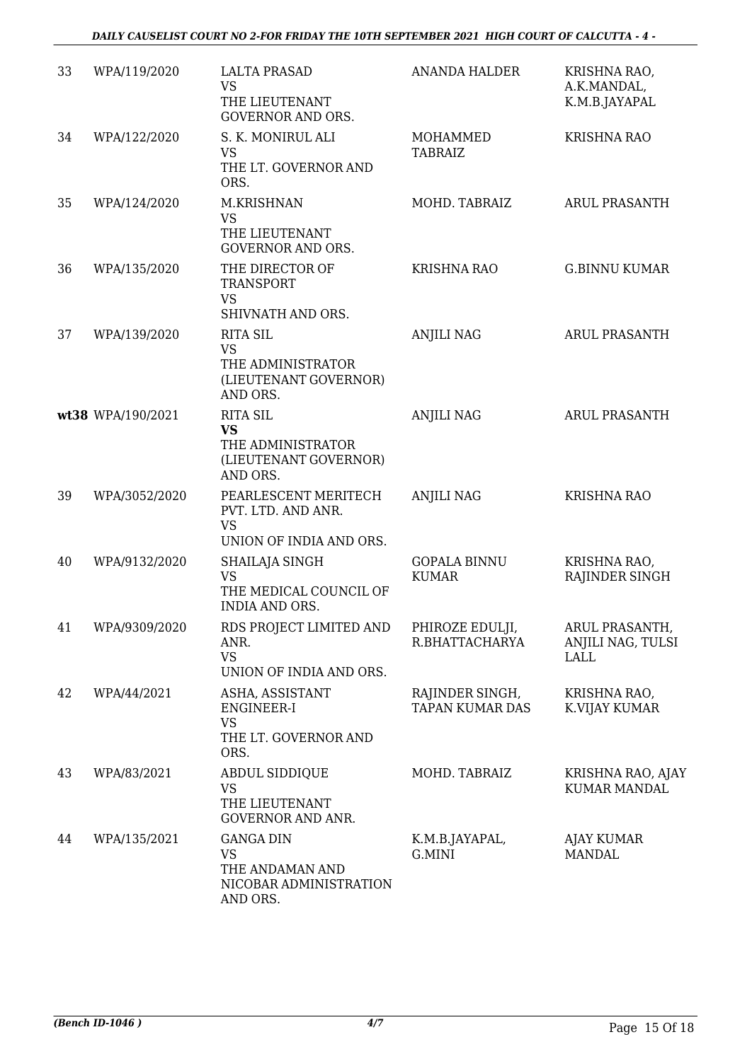| 33 | WPA/119/2020      | <b>LALTA PRASAD</b><br><b>VS</b><br>THE LIEUTENANT<br><b>GOVERNOR AND ORS.</b>         | <b>ANANDA HALDER</b>                      | KRISHNA RAO,<br>A.K.MANDAL,<br>K.M.B.JAYAPAL |
|----|-------------------|----------------------------------------------------------------------------------------|-------------------------------------------|----------------------------------------------|
| 34 | WPA/122/2020      | S. K. MONIRUL ALI<br><b>VS</b><br>THE LT. GOVERNOR AND<br>ORS.                         | MOHAMMED<br><b>TABRAIZ</b>                | <b>KRISHNA RAO</b>                           |
| 35 | WPA/124/2020      | M.KRISHNAN<br><b>VS</b><br>THE LIEUTENANT<br><b>GOVERNOR AND ORS.</b>                  | MOHD. TABRAIZ                             | <b>ARUL PRASANTH</b>                         |
| 36 | WPA/135/2020      | THE DIRECTOR OF<br><b>TRANSPORT</b><br><b>VS</b><br>SHIVNATH AND ORS.                  | <b>KRISHNA RAO</b>                        | <b>G.BINNU KUMAR</b>                         |
| 37 | WPA/139/2020      | <b>RITA SIL</b><br><b>VS</b><br>THE ADMINISTRATOR<br>(LIEUTENANT GOVERNOR)<br>AND ORS. | <b>ANJILI NAG</b>                         | <b>ARUL PRASANTH</b>                         |
|    | wt38 WPA/190/2021 | <b>RITA SIL</b><br><b>VS</b><br>THE ADMINISTRATOR<br>(LIEUTENANT GOVERNOR)<br>AND ORS. | <b>ANJILI NAG</b>                         | <b>ARUL PRASANTH</b>                         |
| 39 | WPA/3052/2020     | PEARLESCENT MERITECH<br>PVT. LTD. AND ANR.<br><b>VS</b><br>UNION OF INDIA AND ORS.     | <b>ANJILI NAG</b>                         | <b>KRISHNA RAO</b>                           |
| 40 | WPA/9132/2020     | SHAILAJA SINGH<br><b>VS</b><br>THE MEDICAL COUNCIL OF<br><b>INDIA AND ORS.</b>         | <b>GOPALA BINNU</b><br><b>KUMAR</b>       | KRISHNA RAO,<br>RAJINDER SINGH               |
| 41 | WPA/9309/2020     | RDS PROJECT LIMITED AND<br>ANR.<br><b>VS</b><br>UNION OF INDIA AND ORS.                | PHIROZE EDULJI,<br>R.BHATTACHARYA         | ARUL PRASANTH,<br>ANJILI NAG, TULSI<br>LALL  |
| 42 | WPA/44/2021       | ASHA, ASSISTANT<br><b>ENGINEER-I</b><br><b>VS</b><br>THE LT. GOVERNOR AND<br>ORS.      | RAJINDER SINGH,<br><b>TAPAN KUMAR DAS</b> | KRISHNA RAO,<br>K.VIJAY KUMAR                |
| 43 | WPA/83/2021       | <b>ABDUL SIDDIQUE</b><br><b>VS</b><br>THE LIEUTENANT<br><b>GOVERNOR AND ANR.</b>       | MOHD. TABRAIZ                             | KRISHNA RAO, AJAY<br>KUMAR MANDAL            |
| 44 | WPA/135/2021      | <b>GANGA DIN</b><br><b>VS</b><br>THE ANDAMAN AND<br>NICOBAR ADMINISTRATION<br>AND ORS. | K.M.B.JAYAPAL,<br>G.MINI                  | AJAY KUMAR<br><b>MANDAL</b>                  |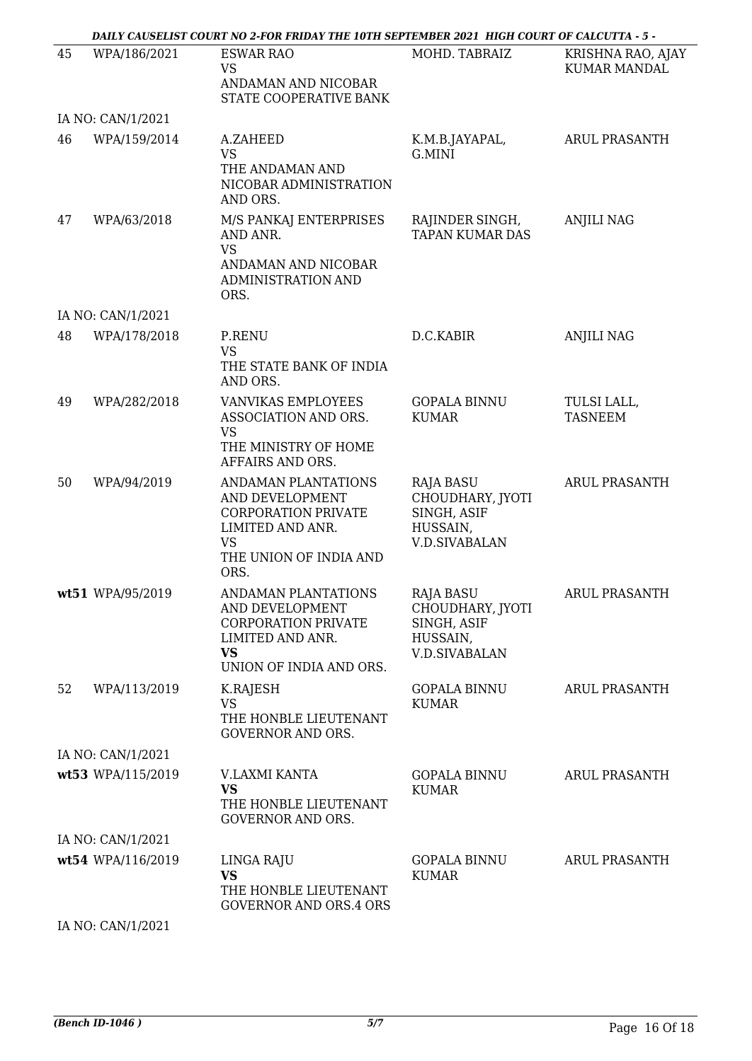|    |                   | DAILY CAUSELIST COURT NO 2-FOR FRIDAY THE 10TH SEPTEMBER 2021 HIGH COURT OF CALCUTTA - 5 -                                              |                                                                                  |                                          |
|----|-------------------|-----------------------------------------------------------------------------------------------------------------------------------------|----------------------------------------------------------------------------------|------------------------------------------|
| 45 | WPA/186/2021      | <b>ESWAR RAO</b><br><b>VS</b>                                                                                                           | MOHD. TABRAIZ                                                                    | KRISHNA RAO, AJAY<br><b>KUMAR MANDAL</b> |
|    |                   | ANDAMAN AND NICOBAR<br>STATE COOPERATIVE BANK                                                                                           |                                                                                  |                                          |
|    | IA NO: CAN/1/2021 |                                                                                                                                         |                                                                                  |                                          |
| 46 | WPA/159/2014      | A.ZAHEED<br><b>VS</b><br>THE ANDAMAN AND<br>NICOBAR ADMINISTRATION<br>AND ORS.                                                          | K.M.B.JAYAPAL,<br>G.MINI                                                         | <b>ARUL PRASANTH</b>                     |
| 47 | WPA/63/2018       | M/S PANKAJ ENTERPRISES<br>AND ANR.<br><b>VS</b><br>ANDAMAN AND NICOBAR<br>ADMINISTRATION AND<br>ORS.                                    | RAJINDER SINGH,<br><b>TAPAN KUMAR DAS</b>                                        | <b>ANJILI NAG</b>                        |
|    | IA NO: CAN/1/2021 |                                                                                                                                         |                                                                                  |                                          |
| 48 | WPA/178/2018      | P.RENU                                                                                                                                  | D.C.KABIR                                                                        | <b>ANJILI NAG</b>                        |
|    |                   | <b>VS</b><br>THE STATE BANK OF INDIA<br>AND ORS.                                                                                        |                                                                                  |                                          |
| 49 | WPA/282/2018      | VANVIKAS EMPLOYEES<br>ASSOCIATION AND ORS.<br><b>VS</b>                                                                                 | <b>GOPALA BINNU</b><br><b>KUMAR</b>                                              | TULSI LALL,<br><b>TASNEEM</b>            |
|    |                   | THE MINISTRY OF HOME<br>AFFAIRS AND ORS.                                                                                                |                                                                                  |                                          |
| 50 | WPA/94/2019       | ANDAMAN PLANTATIONS<br>AND DEVELOPMENT<br><b>CORPORATION PRIVATE</b><br>LIMITED AND ANR.<br><b>VS</b><br>THE UNION OF INDIA AND<br>ORS. | RAJA BASU<br>CHOUDHARY, JYOTI<br>SINGH, ASIF<br>HUSSAIN,<br><b>V.D.SIVABALAN</b> | <b>ARUL PRASANTH</b>                     |
|    | wt51 WPA/95/2019  | ANDAMAN PLANTATIONS<br>AND DEVELOPMENT<br><b>CORPORATION PRIVATE</b><br>LIMITED AND ANR.<br><b>VS</b><br>UNION OF INDIA AND ORS.        | RAJA BASU<br>CHOUDHARY, JYOTI<br>SINGH, ASIF<br>HUSSAIN,<br><b>V.D.SIVABALAN</b> | <b>ARUL PRASANTH</b>                     |
| 52 | WPA/113/2019      | K.RAJESH<br><b>VS</b><br>THE HONBLE LIEUTENANT<br><b>GOVERNOR AND ORS.</b>                                                              | <b>GOPALA BINNU</b><br><b>KUMAR</b>                                              | <b>ARUL PRASANTH</b>                     |
|    | IA NO: CAN/1/2021 |                                                                                                                                         |                                                                                  |                                          |
|    | wt53 WPA/115/2019 | V.LAXMI KANTA<br><b>VS</b><br>THE HONBLE LIEUTENANT<br><b>GOVERNOR AND ORS.</b>                                                         | <b>GOPALA BINNU</b><br><b>KUMAR</b>                                              | <b>ARUL PRASANTH</b>                     |
|    | IA NO: CAN/1/2021 |                                                                                                                                         |                                                                                  |                                          |
|    | wt54 WPA/116/2019 | LINGA RAJU<br><b>VS</b><br>THE HONBLE LIEUTENANT<br><b>GOVERNOR AND ORS.4 ORS</b>                                                       | <b>GOPALA BINNU</b><br><b>KUMAR</b>                                              | <b>ARUL PRASANTH</b>                     |
|    | IA NO: CAN/1/2021 |                                                                                                                                         |                                                                                  |                                          |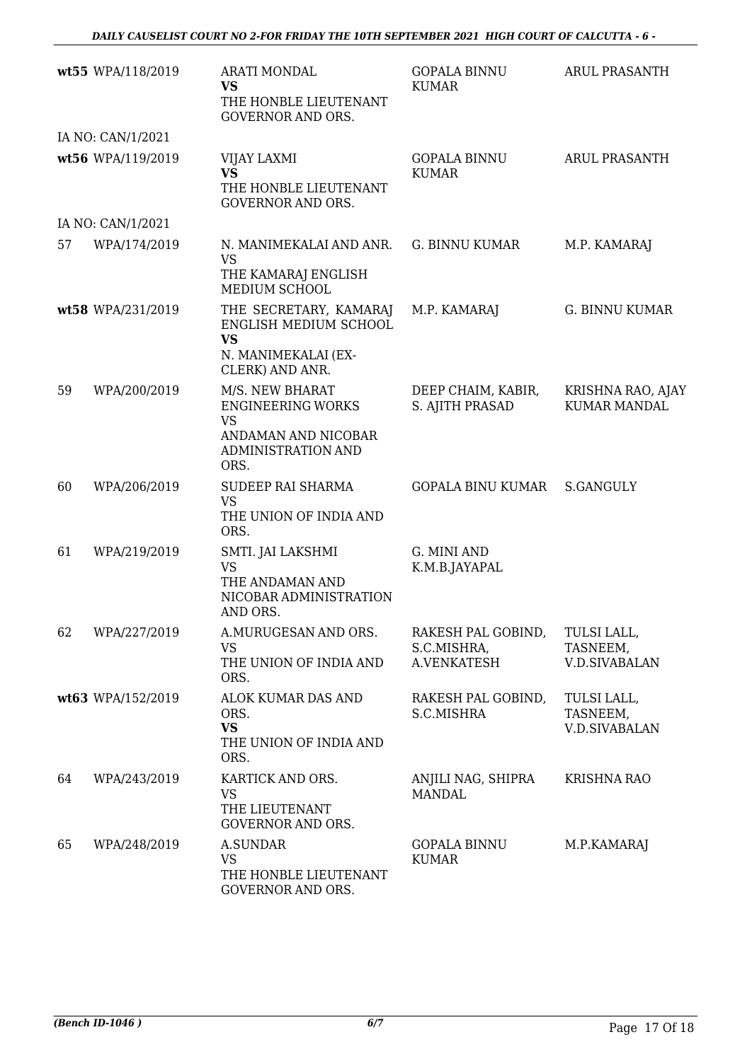|    | wt55 WPA/118/2019 | <b>ARATI MONDAL</b><br><b>VS</b><br>THE HONBLE LIEUTENANT<br><b>GOVERNOR AND ORS.</b>                         | <b>GOPALA BINNU</b><br><b>KUMAR</b>              | <b>ARUL PRASANTH</b>                            |
|----|-------------------|---------------------------------------------------------------------------------------------------------------|--------------------------------------------------|-------------------------------------------------|
|    | IA NO: CAN/1/2021 |                                                                                                               |                                                  |                                                 |
|    | wt56 WPA/119/2019 | VIJAY LAXMI<br><b>VS</b><br>THE HONBLE LIEUTENANT<br><b>GOVERNOR AND ORS.</b>                                 | <b>GOPALA BINNU</b><br><b>KUMAR</b>              | <b>ARUL PRASANTH</b>                            |
|    | IA NO: CAN/1/2021 |                                                                                                               |                                                  |                                                 |
| 57 | WPA/174/2019      | N. MANIMEKALAI AND ANR.<br><b>VS</b><br>THE KAMARAJ ENGLISH<br>MEDIUM SCHOOL                                  | G. BINNU KUMAR                                   | M.P. KAMARAJ                                    |
|    | wt58 WPA/231/2019 | THE SECRETARY, KAMARAJ<br>ENGLISH MEDIUM SCHOOL<br><b>VS</b><br>N. MANIMEKALAI (EX-<br>CLERK) AND ANR.        | M.P. KAMARAJ                                     | <b>G. BINNU KUMAR</b>                           |
| 59 | WPA/200/2019      | M/S. NEW BHARAT<br><b>ENGINEERING WORKS</b><br><b>VS</b><br>ANDAMAN AND NICOBAR<br>ADMINISTRATION AND<br>ORS. | DEEP CHAIM, KABIR,<br>S. AJITH PRASAD            | KRISHNA RAO, AJAY<br><b>KUMAR MANDAL</b>        |
| 60 | WPA/206/2019      | SUDEEP RAI SHARMA<br><b>VS</b><br>THE UNION OF INDIA AND<br>ORS.                                              | <b>GOPALA BINU KUMAR</b>                         | <b>S.GANGULY</b>                                |
| 61 | WPA/219/2019      | SMTI. JAI LAKSHMI<br><b>VS</b><br>THE ANDAMAN AND<br>NICOBAR ADMINISTRATION<br>AND ORS.                       | G. MINI AND<br>K.M.B.JAYAPAL                     |                                                 |
| 62 | WPA/227/2019      | A.MURUGESAN AND ORS.<br><b>VS</b><br>THE UNION OF INDIA AND<br>ORS.                                           | RAKESH PAL GOBIND,<br>S.C.MISHRA,<br>A.VENKATESH | TULSI LALL,<br>TASNEEM,<br><b>V.D.SIVABALAN</b> |
|    | wt63 WPA/152/2019 | ALOK KUMAR DAS AND<br>ORS.<br><b>VS</b><br>THE UNION OF INDIA AND<br>ORS.                                     | RAKESH PAL GOBIND,<br>S.C.MISHRA                 | TULSI LALL,<br>TASNEEM,<br><b>V.D.SIVABALAN</b> |
| 64 | WPA/243/2019      | KARTICK AND ORS.<br><b>VS</b><br>THE LIEUTENANT<br><b>GOVERNOR AND ORS.</b>                                   | ANJILI NAG, SHIPRA<br><b>MANDAL</b>              | <b>KRISHNA RAO</b>                              |
| 65 | WPA/248/2019      | A.SUNDAR<br><b>VS</b><br>THE HONBLE LIEUTENANT<br>GOVERNOR AND ORS.                                           | <b>GOPALA BINNU</b><br><b>KUMAR</b>              | M.P.KAMARAJ                                     |